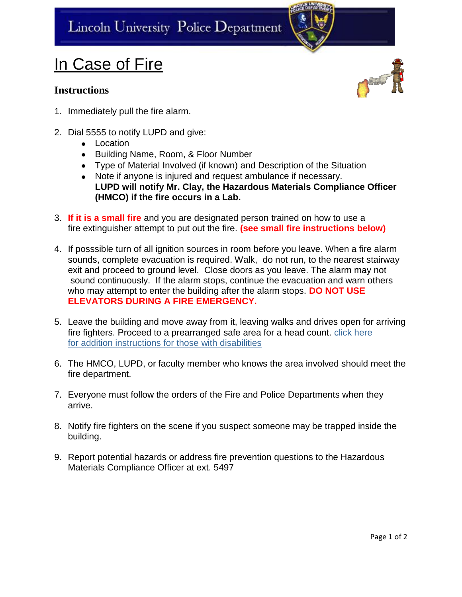## Lincoln University Police Department

## In Case of Fire

## **Instructions**

- 1. Immediately pull the fire alarm.
- 2. Dial 5555 to notify LUPD and give:
	- Location
	- Building Name, Room, & Floor Number
	- Type of Material Involved (if known) and Description of the Situation
	- Note if anyone is injured and request ambulance if necessary. **LUPD will notify Mr. Clay, the Hazardous Materials Compliance Officer (HMCO) if the fire occurs in a Lab.**
- 3. **If it is a small fire** and you are designated person trained on how to use a fire extinguisher attempt to put out the fire. **(see small fire instructions below)**
- 4. If posssible turn of all ignition sources in room before you leave. When a fire alarm sounds, complete evacuation is required. Walk, do not run, to the nearest stairway exit and proceed to ground level. Close doors as you leave. The alarm may not sound continuously. If the alarm stops, continue the evacuation and warn others who may attempt to enter the building after the alarm stops. **DO NOT USE ELEVATORS DURING A FIRE EMERGENCY.**
- 5. Leave the building and move away from it, leaving walks and drives open for arriving fire fighters. Proceed to a prearranged safe area for a head count. [click here](https://bluetigerportal.lincolnu.edu/web/police-department/disability-evacuation-plan)  for [addition instructions for those](https://bluetigerportal.lincolnu.edu/web/police-department/disability-evacuation-plan) with disabilities
- 6. The HMCO, LUPD, or faculty member who knows the area involved should meet the fire department.
- 7. Everyone must follow the orders of the Fire and Police Departments when they arrive.
- 8. Notify fire fighters on the scene if you suspect someone may be trapped inside the building.
- 9. Report potential hazards or address fire prevention questions to the Hazardous Materials Compliance Officer at ext. 5497